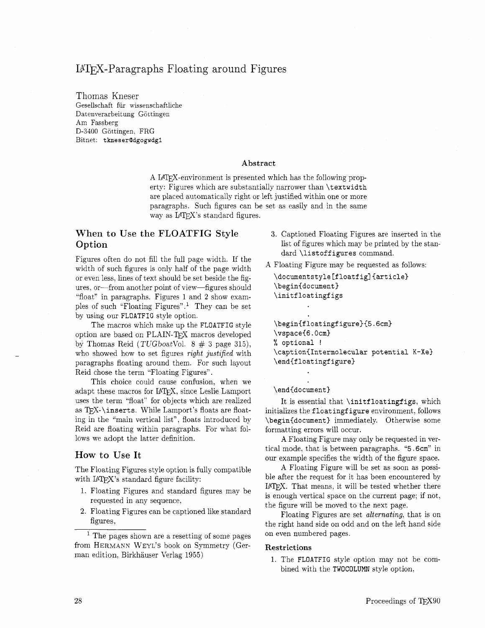# B7&X-Paragraphs Floating around Figures

Thomas Kneser Gesellschaft fiir wissenschaftliche Datenverarbeitung Göttingen Am Fassberg D-3400 Gottingen, FRG Bitnet: **tkneserQdgogwdg1** 

#### **Abstract**

A LAT<sub>F</sub>X-environment is presented which has the following property: Figures which are substantially narrower than **\t extwidth**  are placed automatically right or left justified within one or more paragraphs. Such figures can be set as easily and in the same way as  $\text{LATF}$ *X*'s standard figures.

## **When to Use the FLOATFIG Style Option**

Figures often do not fill the full page width. If the width of such figures is only half of the page width or even less, lines of text should be set beside the figures, or-from another point of view-figures should "float" in paragraphs. Figures 1 and **2** show examples of such "Floating Figures".<sup>1</sup> They can be set by using our **FLOATFIG** style option.

The macros which make up the **FLOATFIG** style option are based on PLAIN-TEX macros developed **by** Thomas Reid (TUGboatVol. 8 # **3** page 315), who showed how to set figures right justified with paragraphs floating around them. For such layout Reid chose the term "Floating Figures".

This choice could cause confusion, when we adapt these macros for IATFX, since Leslie Lamport uses the term "float" for objects which are realized as TEX-\inserts. While Lamport's floats are floating in the "main vertical list", floats introduced by Reid are floating within paragraphs. For what follows we adopt the latter definition.

### **How to Use It**

The Floating Figures style option is fully compatible with IATEX's standard figure facility:

- 1. Floating Figures and standard figures may be requested in any sequence,
- **2.** Floating Figures can be captioned like standard figures,

<sup>1</sup> The pages shown are a resetting of some pages from HERMANN WEYL'S book on Symmetry (German edition, Birkhauser Verlag 1955)

- **3.** Captioned Floating Figures are inserted in the list of figures which may be printed by the standard **\listoff igures** command.
- A Floating Figure may be requested as follows:

**\documentstyle Cfloatf ig] {article) \begin(document) \initf loat ingf igs** 

**\beginCfloatingfigure){5.6cm) \vspaceCG. Ocm3**  % **optional** ! **\captionCIntermolecular potential K-Xe) \end{floatingfigure)** 

\end{document}

It is essential that **\initf loat ingf igs,** which initializes the **float ingf igure** environment. follows \begin{document} immediately. Otherwise some formatting errors will occur.

A Floating Figure may only be requested in vertical mode, that is between paragraphs. **"5.6cm"** in our example specifies the width of the figure space.

A Floating Figure will be set as soon as possible after the request for it has been encountered by IATFX. That means, it will be tested whether there is enough vertical space on the current page; if not, the figure will be moved to the next page.

Floating Figures are set *alternating,* that is on the right hand side on odd and on the left hand side on even numbered pages.

#### **Restrictions**

1. The **FLOATFIG** style option may not be combined with the **TWOCOLUMN** style option,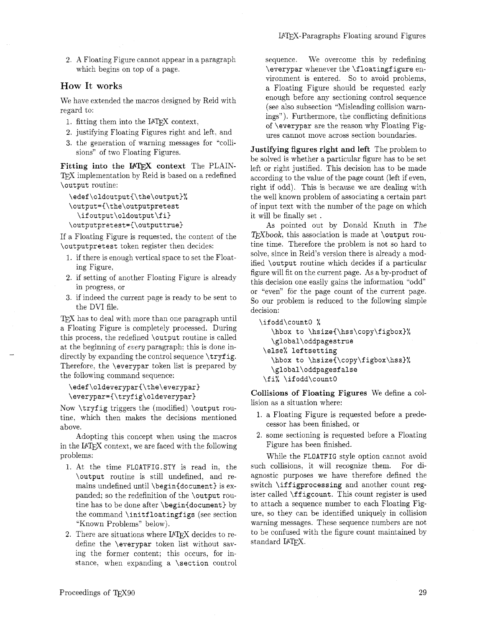*2.* A Floating Figure cannot appear in a paragraph which begins on top of a page.

### **How** It **works**

We have extended the macros designed by Reid with regard to:

- 1. fitting them into the IATFX context,
- 2. justifying Floating Figures right and left, and
- 3. the generation of warning messages for "collisions" of two Floating Figures.

Fitting into the IATFX context The PLAIN-TFX implementation by Reid is based on a redefined **\output** routine:

```
\edef\oldoutput{\the\output}%
\output=C\the\outputpretest 
  \ifoutput\oldoutput\fi) 
\outputpretest={\outputtrue)
```
If a Floating Figure is requested, the content of the **\outputpretest** token register then decides:

- 1. if there is enough vertical space to set the Floating Figure,
- 2. if setting of another Floating Figure is already in progress, or
- **3.** if indeed the current page is ready to be sent to the DVI file.

TEX has to deal with more than one paragraph until \ifodd\count0 % a Floating Figure is completely processed. During **\hbox to \hsize{\hss\copy\figbox}%** this process, the redefined **\output** routine is called **\global\oddpagestrue** at the beginning of every paragraph; this is done in-<br> **\else%** leftsetting directly by expanding the control sequence **\tryfig.**  $\hbar z = 0$  \hbox to \hsize{\copy\figbox\hss}% Therefore, the **\everypar** token list is prepared by **\global\oddpagesfalse** the following command sequence:  $\frac{\xi}{\xi} \cdot \frac{\xi}{\xi}$ 

```
\edef\oldeveryparC\the\everypar) 
\everypar=C\tryfig\oldeverypar)
```
Now **\tryf ig** triggers the (modified) **\output** routine. which then makes the decisions mentioned above.

Adopting this concept when using the macros in the IATEX context, we are faced with the following problems:

- 1. At the time **FLOATFIG.STY** is read in, the **\output** routine is still undefined. and remains undefined until **\begin{document)** is expanded; so the redefinition of the **\output** routine has to be done after **\begin{document)** by the command **\initf loat ingf igs** (see section "Known Problems" below).
- 2. There are situations where IATFX decides to redefine the **\everypar** token list without saving the former content: this occurs, for instance. when expanding a **\section** control

sequence. We overcome this by redefining **\everypar** whenever the **\f loatingf igure** environment is entered. So to avoid problems, a Floating Figure should be requested early enough before any sectioning control sequence (see also subsection "Misleading collision warnings"). Furthermore, the conflicting definitions of **\everypar** are the reason why Floating Figures cannot move across section boundaries.

Justifying figures right and left The problem to be solved is whether a particular figure has to be set left or right justified. This decision has to be made according to the value of the page count (left if even, right if odd). This is because we are dealing with the well known problem of associating a certain part of input text with the number of the page on which it will be finally set .

As pointed out by Donald Knuth in The TFXbook, this association is made at **\output** routine time. Therefore the problem is not so hard to solve, since in Reid's version there is already a modified **\output** routine which decides if a particular figure will fit on the current page. As a by-product of this decision one easily gains the information "odd" or "even" for the page count of the current page. So our problem is reduced to the following simple decision:

Collisions of Floating Figures We define a collision as a situation where:

- 1. a Floating Figure is requested before a predecessor has been finished, or
- *2.* some sectioning is requested before a Floating Figure has been finished.

While the **FLOATFIG** style option cannot avoid such collisions, it will recognize them. For diagnostic purposes we have therefore defined the switch **\iff igprocessing** and another count register called **\ff igcount.** This count register is used to attach a sequence number to each Floating Figure, so they can be identified uniquely in collision warning messages. These sequence numbers are not to be confused with the figure count maintained by standard IATEX.